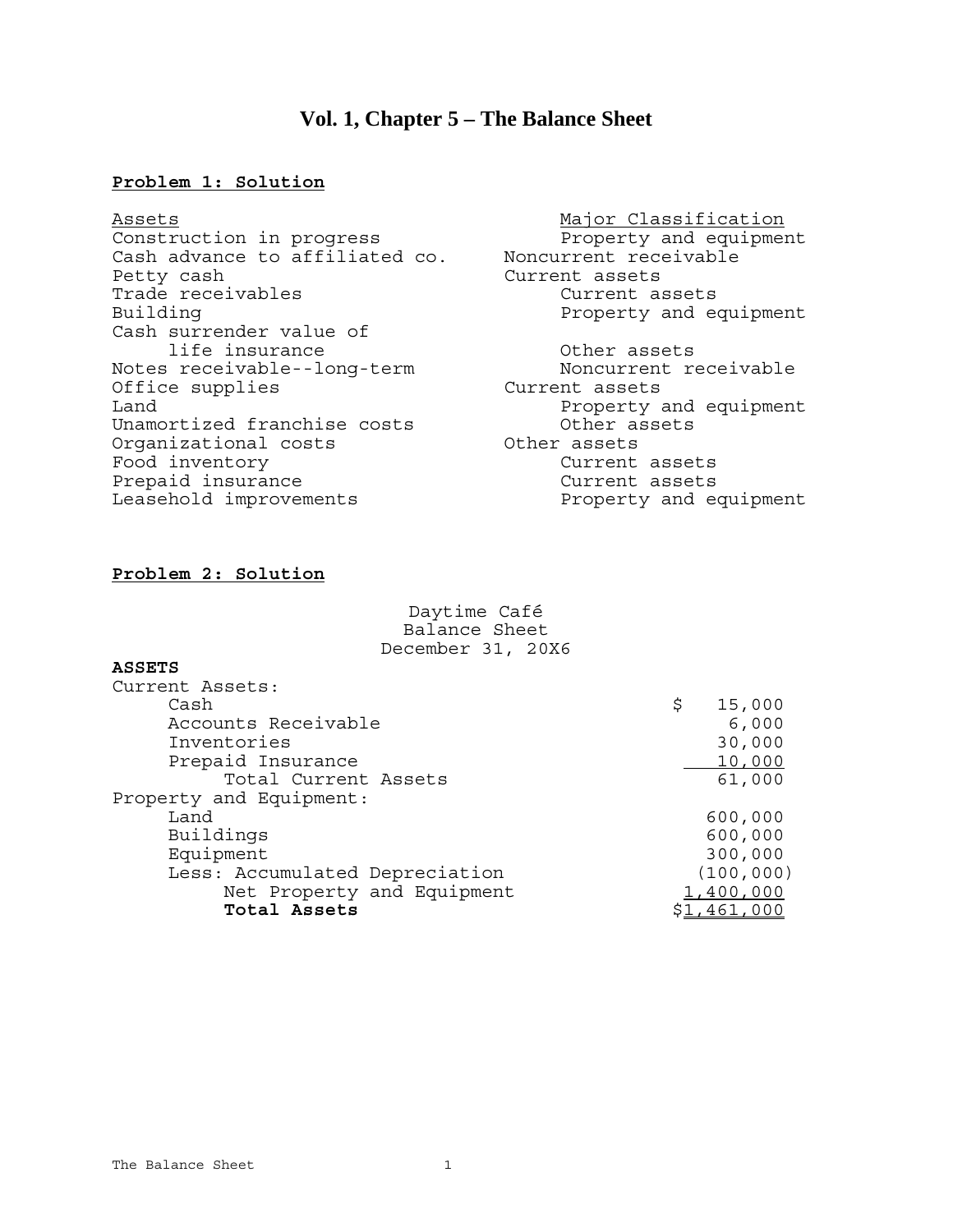# **Vol. 1, Chapter 5 – The Balance Sheet**

#### **Problem 1: Solution**

Assets<br>Construction in progress and Major Classification<br>Property and equipment Construction in progress Cash advance to affiliated co. Noncurrent receivable Petty cash<br>Trade receivables extending the Current assets current assets Trade receivables Building **Property** and equipment Cash surrender value of life insurance<br>ther assets<br>treceivable--long-term<br>Noncurrent receivable Notes receivable--long-term Moncurrent<br>Office supplies Current assets Office supplies Land  $\qquad$   $\qquad$   $\qquad$   $\qquad$   $\qquad$   $\qquad$   $\qquad$   $\qquad$   $\qquad$   $\qquad$   $\qquad$   $\qquad$   $\qquad$   $\qquad$   $\qquad$   $\qquad$   $\qquad$   $\qquad$   $\qquad$   $\qquad$   $\qquad$   $\qquad$   $\qquad$   $\qquad$   $\qquad$   $\qquad$   $\qquad$   $\qquad$   $\qquad$   $\qquad$   $\qquad$   $\qquad$   $\qquad$   $\qquad$   $\qquad$   $\qquad$  Unamortized franchise costs **Other** assets Organizational costs **COVID-10** Other assets Food inventory extending the Current assets Prepaid insurance and Current assets Leasehold improvements **Example 20** Property and equipment

- 
- 

## **Problem 2: Solution**

Daytime Café Balance Sheet December 31, 20X6

### **ASSETS**

| Current Assets:                |              |
|--------------------------------|--------------|
| Cash                           | \$<br>15,000 |
| Accounts Receivable            | 6,000        |
| Inventories                    | 30,000       |
| Prepaid Insurance              | 10,000       |
| Total Current Assets           | 61,000       |
| Property and Equipment:        |              |
| Land                           | 600,000      |
| Buildings                      | 600,000      |
| Equipment                      | 300,000      |
| Less: Accumulated Depreciation | (100, 000)   |
| Net Property and Equipment     | 1,400,000    |
| Total Assets                   | .,461,000    |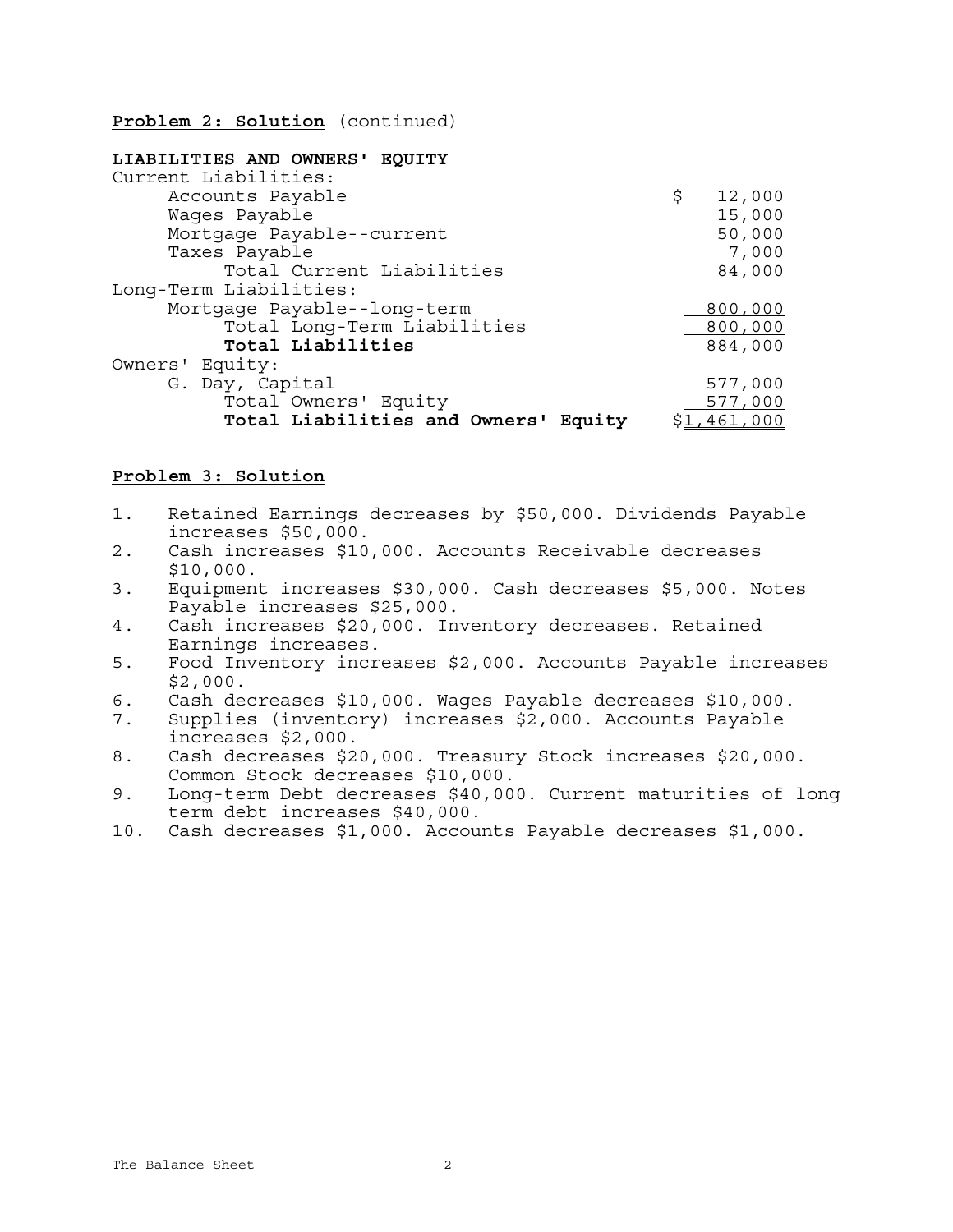**Problem 2: Solution** (continued)

| LIABILITIES AND OWNERS' EOUITY       |              |
|--------------------------------------|--------------|
| Current Liabilities:                 |              |
| Accounts Payable                     | \$<br>12,000 |
| Wages Payable                        | 15,000       |
| Mortgage Payable--current            | 50,000       |
| Taxes Payable                        | 7,000        |
| Total Current Liabilities            | 84,000       |
| Long-Term Liabilities:               |              |
| Mortgage Payable--long-term          | 800,000      |
| Total Long-Term Liabilities          | 800,000      |
| Total Liabilities                    | 884,000      |
| Owners' Equity:                      |              |
| G. Day, Capital                      | 577,000      |
| Total Owners' Equity                 | 577,000      |
| Total Liabilities and Owners' Equity | \$1,461,000  |

### **Problem 3: Solution**

- 1. Retained Earnings decreases by \$50,000. Dividends Payable increases \$50,000.
- 2. Cash increases \$10,000. Accounts Receivable decreases \$10,000.
- 3. Equipment increases \$30,000. Cash decreases \$5,000. Notes Payable increases \$25,000.
- 4. Cash increases \$20,000. Inventory decreases. Retained Earnings increases.
- 5. Food Inventory increases \$2,000. Accounts Payable increases \$2,000.
- 6. Cash decreases \$10,000. Wages Payable decreases \$10,000.
- 7. Supplies (inventory) increases \$2,000. Accounts Payable increases \$2,000.
- 8. Cash decreases \$20,000. Treasury Stock increases \$20,000. Common Stock decreases \$10,000.
- 9. Long-term Debt decreases \$40,000. Current maturities of long term debt increases \$40,000.
- 10. Cash decreases \$1,000. Accounts Payable decreases \$1,000.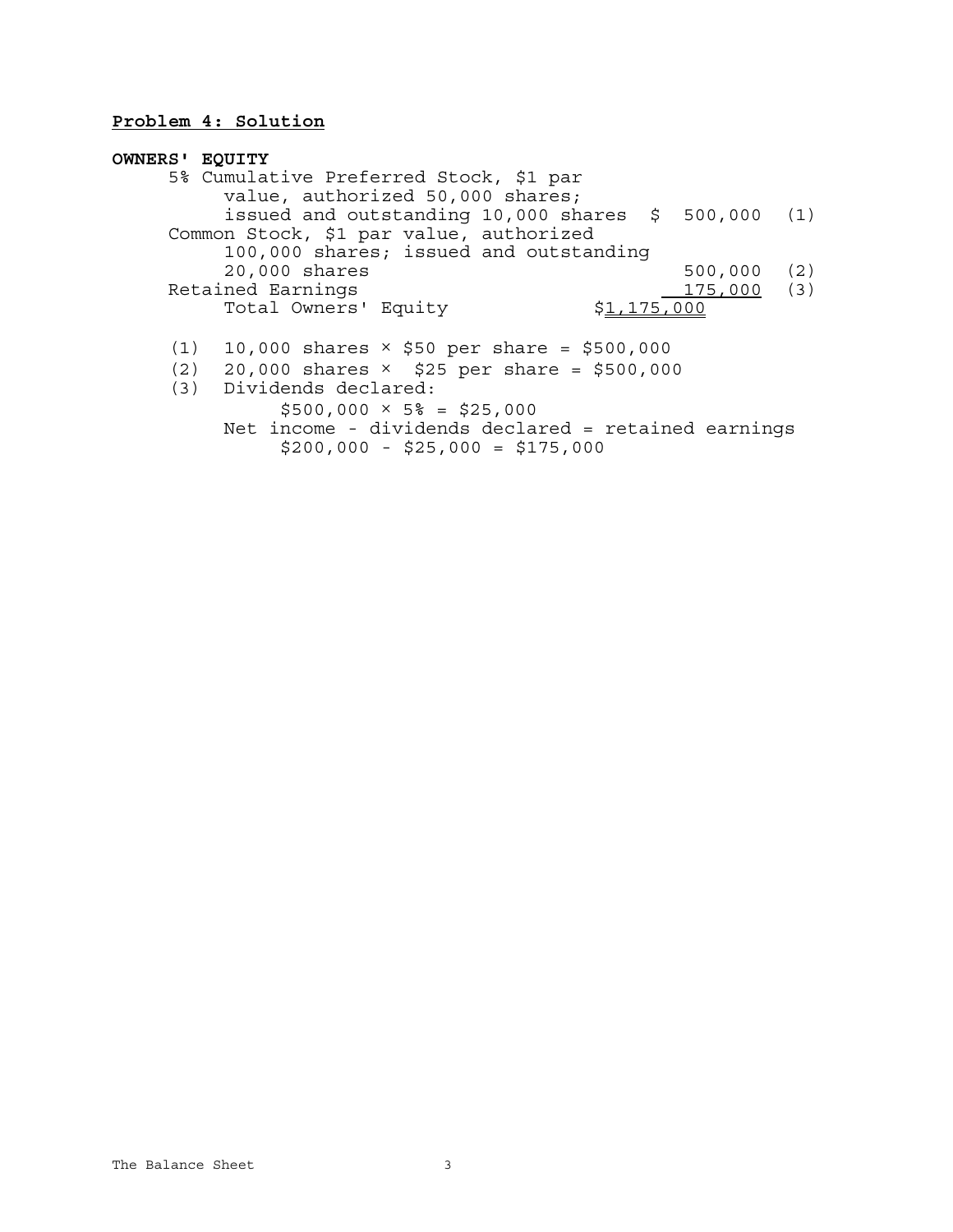# **Problem 4: Solution**

| <b>OWNERS' EQUITY</b> |                                                         |            |     |
|-----------------------|---------------------------------------------------------|------------|-----|
|                       | 5% Cumulative Preferred Stock, \$1 par                  |            |     |
|                       | value, authorized 50,000 shares;                        |            |     |
|                       | issued and outstanding $10,000$ shares $$500,000$ (1)   |            |     |
|                       | Common Stock, \$1 par value, authorized                 |            |     |
|                       | 100,000 shares; issued and outstanding                  |            |     |
|                       | 20,000 shares                                           | 500,000    | (2) |
|                       | Retained Earnings                                       | 175,000(3) |     |
|                       | Total Owners' Equity<br>\$1,175,000                     |            |     |
| (1)                   | 10,000 shares $\times$ \$50 per share = \$500,000       |            |     |
|                       | $(2)$ 20,000 shares $\times$ \$25 per share = \$500,000 |            |     |
|                       | (3) Dividends declared:                                 |            |     |
|                       | $$500,000 \times 5\% = $25,000$                         |            |     |
|                       | Net income - dividends declared = retained earnings     |            |     |
|                       | $$200,000 - $25,000 = $175,000$                         |            |     |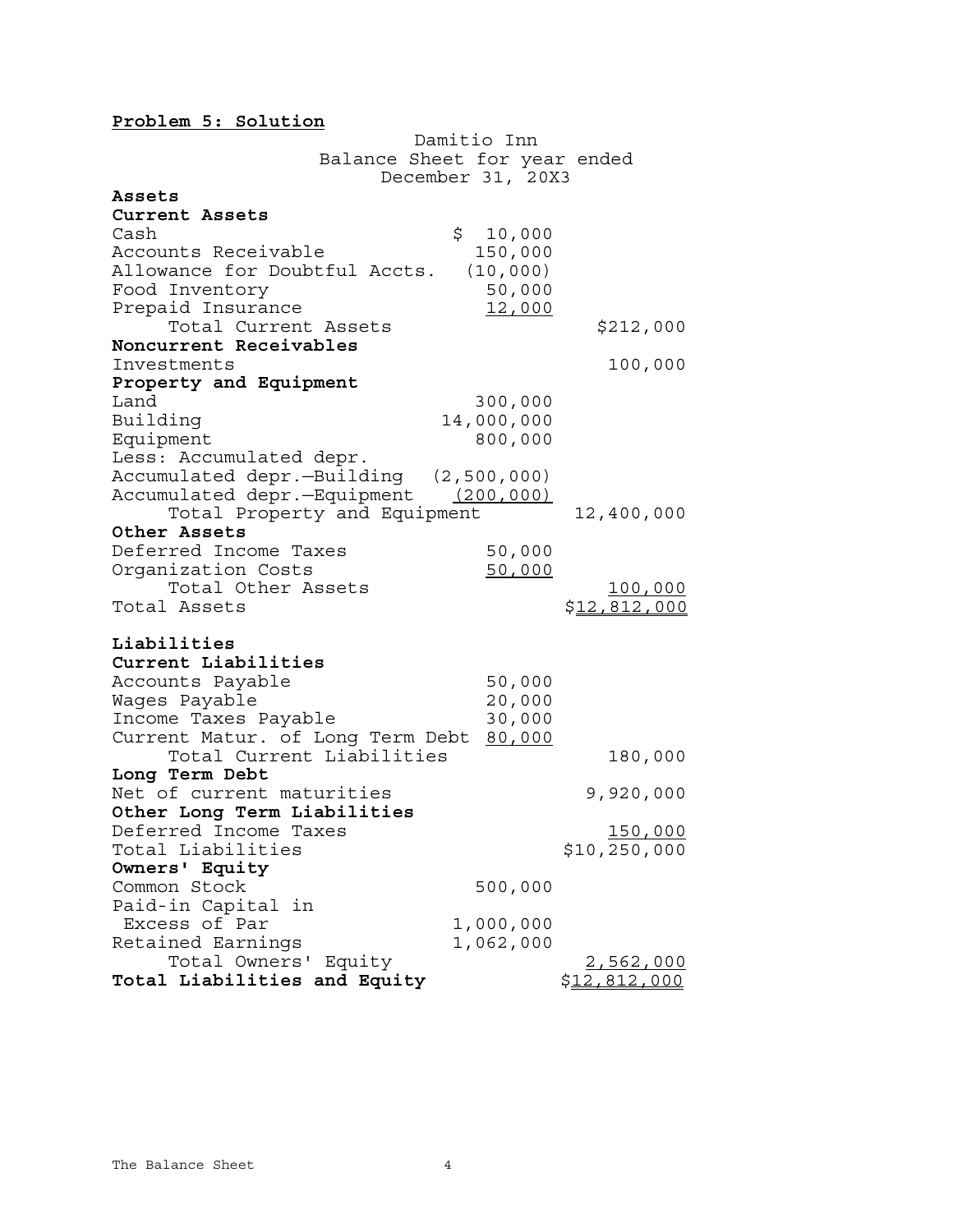# **Problem 5: Solution**

|                                        | Damitio Inn       |                     |
|----------------------------------------|-------------------|---------------------|
| Balance Sheet for year ended           |                   |                     |
|                                        | December 31, 20X3 |                     |
| Assets                                 |                   |                     |
| Current Assets                         |                   |                     |
| Cash                                   | \$10,000          |                     |
| Accounts Receivable                    | 150,000           |                     |
| Allowance for Doubtful Accts.          | (10,000)          |                     |
| Food Inventory                         | 50,000            |                     |
| Prepaid Insurance                      | 12,000            |                     |
| Total Current Assets                   |                   | \$212,000           |
| Noncurrent Receivables                 |                   |                     |
| Investments                            |                   | 100,000             |
| Property and Equipment                 |                   |                     |
| Land                                   | 300,000           |                     |
| Building                               | 14,000,000        |                     |
| Equipment                              | 800,000           |                     |
| Less: Accumulated depr.                |                   |                     |
| Accumulated depr.-Building (2,500,000) |                   |                     |
| Accumulated depr.-Equipment (200,000)  |                   |                     |
| Total Property and Equipment           |                   | 12,400,000          |
| Other Assets                           |                   |                     |
| Deferred Income Taxes                  | 50,000            |                     |
| Organization Costs                     | 50,000            |                     |
| Total Other Assets                     |                   | <u>100,000</u>      |
| Total Assets                           |                   | <u>\$12,812,000</u> |
| Liabilities                            |                   |                     |
| Current Liabilities                    |                   |                     |
| Accounts Payable                       | 50,000            |                     |
| Wages Payable                          | 20,000            |                     |
| Income Taxes Payable                   | 30,000            |                     |
| Current Matur. of Long Term Debt       | 80,000            |                     |
| Total Current Liabilities              |                   | 180,000             |
| Long Term Debt                         |                   |                     |
| Net of current maturities              |                   | 9,920,000           |
| Other Long Term Liabilities            |                   |                     |
| Deferred Income Taxes                  |                   | <u>150,000</u>      |
| Total Liabilities                      |                   | \$10, 250, 000      |
| Owners' Equity                         |                   |                     |
| Common Stock                           | 500,000           |                     |
| Paid-in Capital in                     |                   |                     |
| Excess of Par                          | 1,000,000         |                     |
| Retained Earnings                      | 1,062,000         |                     |
| Total Owners' Equity                   |                   | <u>2,562,000</u>    |
| Total Liabilities and Equity           |                   | \$12,812,000        |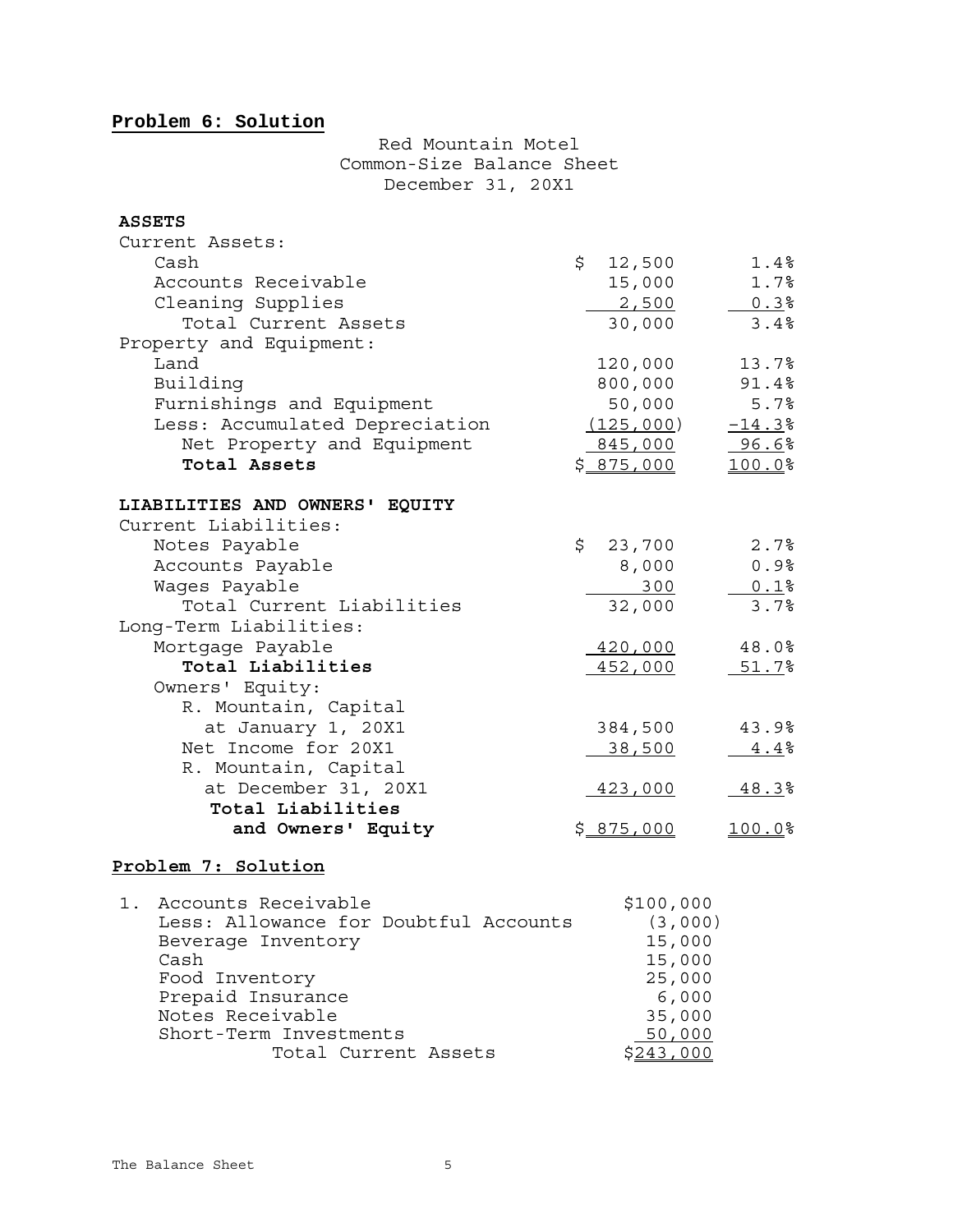# **Problem 6: Solution**

# Red Mountain Motel Common-Size Balance Sheet December 31, 20X1

### **ASSETS**

| Current Assets:                           |                   |          |
|-------------------------------------------|-------------------|----------|
| Cash                                      | \$12,500          | 1.4%     |
| Accounts Receivable                       | 15,000            | 1.7%     |
| Cleaning Supplies                         | 2,500             | 0.3%     |
| Total Current Assets                      | 30,000            | 3.4%     |
| Property and Equipment:                   |                   |          |
| Land                                      | 120,000           | 13.7%    |
| Building                                  | 800,000           | 91.4%    |
| Furnishings and Equipment                 | 50,000            | 5.7%     |
| Less: Accumulated Depreciation            | (125,000)         | $-14.3%$ |
| Net Property and Equipment                | 845,000           | 96.6%    |
| Total Assets                              | \$ <u>875,000</u> | 100.0%   |
| LIABILITIES AND OWNERS' EQUITY            |                   |          |
| Current Liabilities:                      |                   |          |
| Notes Payable                             | \$<br>23,700      | 2.7%     |
| Accounts Payable                          | 8,000             | 0.9%     |
| Wages Payable                             | 300               | $0.1$ %  |
| Total Current Liabilities                 | 32,000            | 3.7%     |
| Long-Term Liabilities:                    |                   |          |
| Mortgage Payable                          | 420,000           | 48.0%    |
| Total Liabilities                         | 452,000           | 51.7%    |
| Owners' Equity:                           |                   |          |
| R. Mountain, Capital                      |                   |          |
| at January 1, 20X1                        | 384,500           | 43.9%    |
| Net Income for 20X1                       | 38,500            |          |
| R. Mountain, Capital                      |                   | 4.4%     |
|                                           |                   |          |
| at December 31, 20X1<br>Total Liabilities | 423,000           | 48.3%    |
| and Owners' Equity                        | \$875,000         | 100.0%   |
|                                           |                   |          |

# **Problem 7: Solution**

| Accounts Receivable<br>$1$ .          | \$100,000 |
|---------------------------------------|-----------|
| Less: Allowance for Doubtful Accounts | (3,000)   |
| Beverage Inventory                    | 15,000    |
| Cash                                  | 15,000    |
| Food Inventory                        | 25,000    |
| Prepaid Insurance                     | 6,000     |
| Notes Receivable                      | 35,000    |
| Short-Term Investments                | 50,000    |
| Total Current Assets                  |           |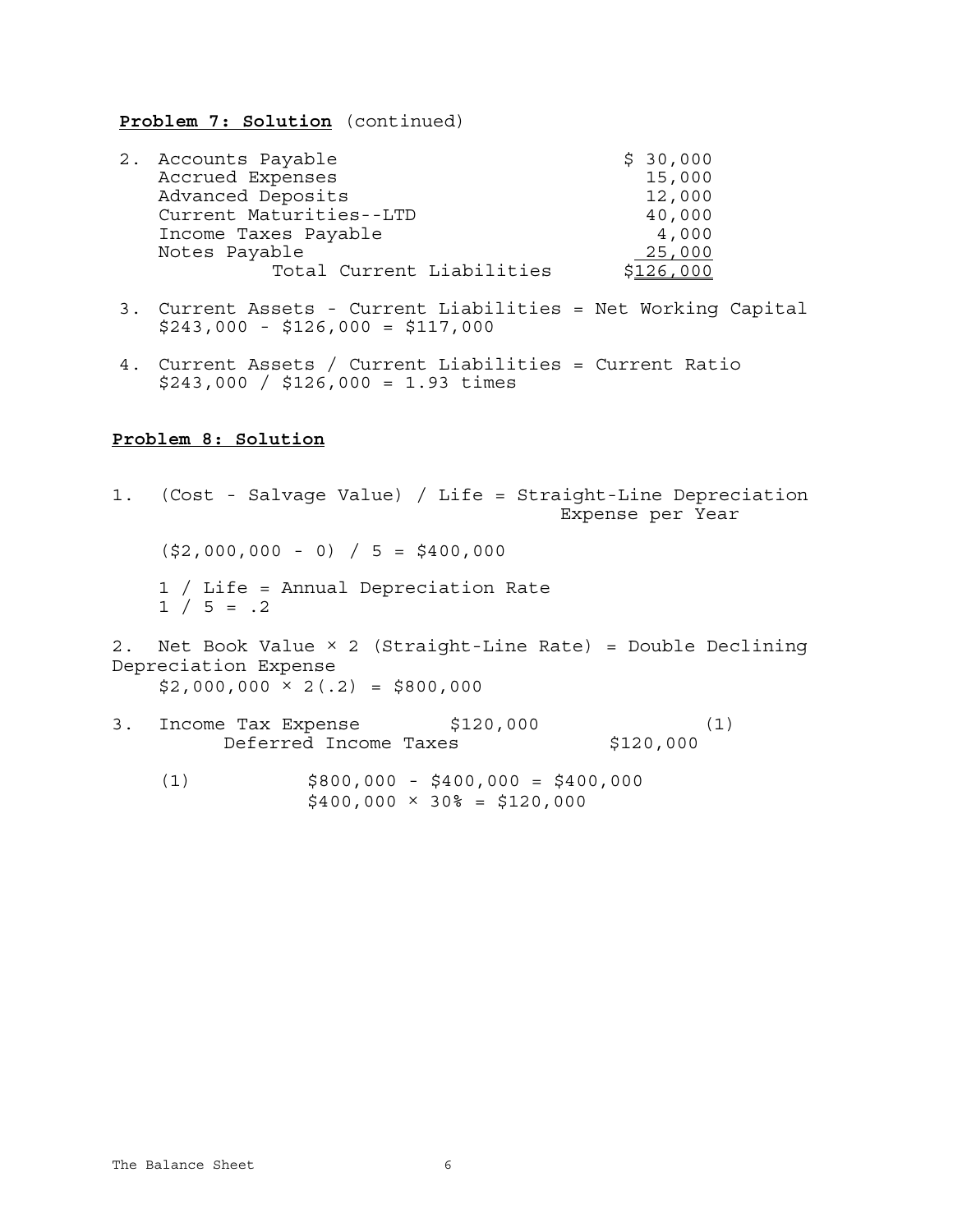**Problem 7: Solution** (continued)

| 2. Accounts Payable       | \$30,000  |
|---------------------------|-----------|
| Accrued Expenses          | 15,000    |
| Advanced Deposits         | 12,000    |
| Current Maturities--LTD   | 40,000    |
| Income Taxes Payable      | 4,000     |
| Notes Payable             | 25,000    |
| Total Current Liabilities | \$126,000 |

- 3. Current Assets Current Liabilities = Net Working Capital \$243,000 - \$126,000 = \$117,000
- 4. Current Assets / Current Liabilities = Current Ratio \$243,000 / \$126,000 = 1.93 times

## **Problem 8: Solution**

|                                                              |                                  | 1. (Cost - Salvage Value) / Life = Straight-Line Depreciation<br>Expense per Year |     |
|--------------------------------------------------------------|----------------------------------|-----------------------------------------------------------------------------------|-----|
| $(S2,000,000 - 0) / 5 = $400,000$                            |                                  |                                                                                   |     |
| 1 / Life = Annual Depreciation Rate<br>$1 / 5 = .2$          |                                  |                                                                                   |     |
| Depreciation Expense<br>$$2,000,000 \times 2(.2) = $800,000$ |                                  | 2. Net Book Value $\times$ 2 (Straight-Line Rate) = Double Declining              |     |
| 3. Income Tax Expense \$120,000                              | Deferred Income Taxes            | \$120,000                                                                         | (1) |
| (1)                                                          | $$800,000 - $400,000 = $400,000$ |                                                                                   |     |

 $$400,000 \times 30\% = $120,000$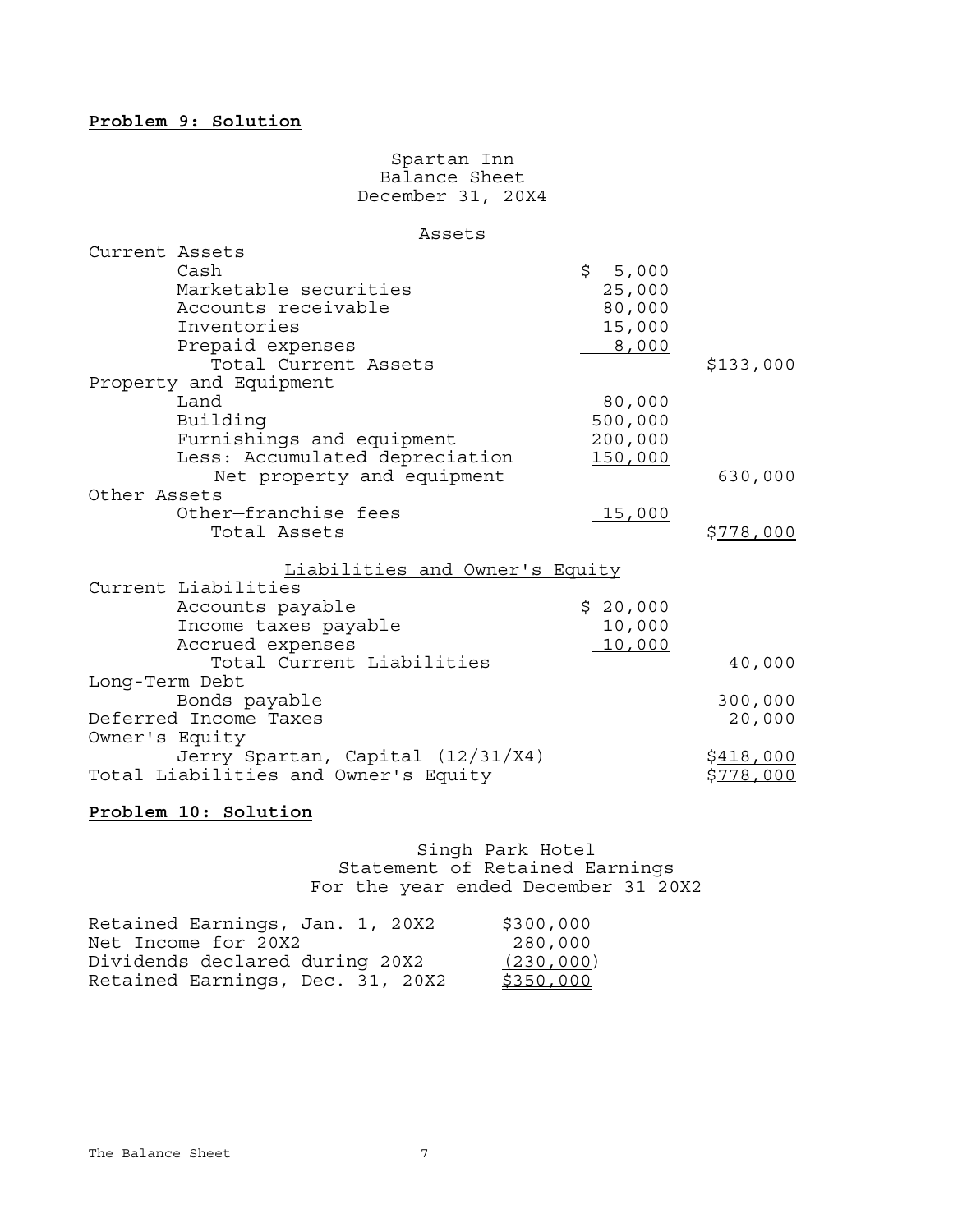### **Problem 9: Solution**

### Spartan Inn **Balance Sheet** December 31, 20X4

#### Assets

| Current Assets |                                      |             |                  |
|----------------|--------------------------------------|-------------|------------------|
|                | Cash                                 | \$<br>5,000 |                  |
|                | Marketable securities                | 25,000      |                  |
|                | Accounts receivable                  | 80,000      |                  |
|                | Inventories                          | 15,000      |                  |
|                | Prepaid expenses                     | 8,000       |                  |
|                | Total Current Assets                 |             | \$133,000        |
|                | Property and Equipment               |             |                  |
|                | Land                                 | 80,000      |                  |
|                | Building                             | 500,000     |                  |
|                | Furnishings and equipment            | 200,000     |                  |
|                | Less: Accumulated depreciation       | 150,000     |                  |
|                | Net property and equipment           |             | 630,000          |
| Other Assets   |                                      |             |                  |
|                | Other-franchise fees                 | 15,000      |                  |
|                | Total Assets                         |             | \$778,000        |
|                | Liabilities and Owner's Equity       |             |                  |
|                | Current Liabilities                  |             |                  |
|                | Accounts payable                     | \$20,000    |                  |
|                | Income taxes payable                 | 10,000      |                  |
|                | Accrued expenses                     | 10,000      |                  |
|                | Total Current Liabilities            |             | 40,000           |
| Long-Term Debt |                                      |             |                  |
|                | Bonds payable                        |             | 300,000          |
|                | Deferred Income Taxes                |             | 20,000           |
| Owner's Equity |                                      |             |                  |
|                | Jerry Spartan, Capital (12/31/X4)    |             | <u>\$418,000</u> |
|                | Total Liabilities and Owner's Equity |             | <u>\$778,000</u> |
|                |                                      |             |                  |

# **Problem 10: Solution**

Singh Park Hotel Statement of Retained Earnings For the year ended December 31 20X2

| Retained Earnings, Jan. 1, 20X2  | \$300,000  |
|----------------------------------|------------|
| Net Income for 20X2              | 280,000    |
| Dividends declared during 20X2   | (230, 000) |
| Retained Earnings, Dec. 31, 20X2 | \$350,000  |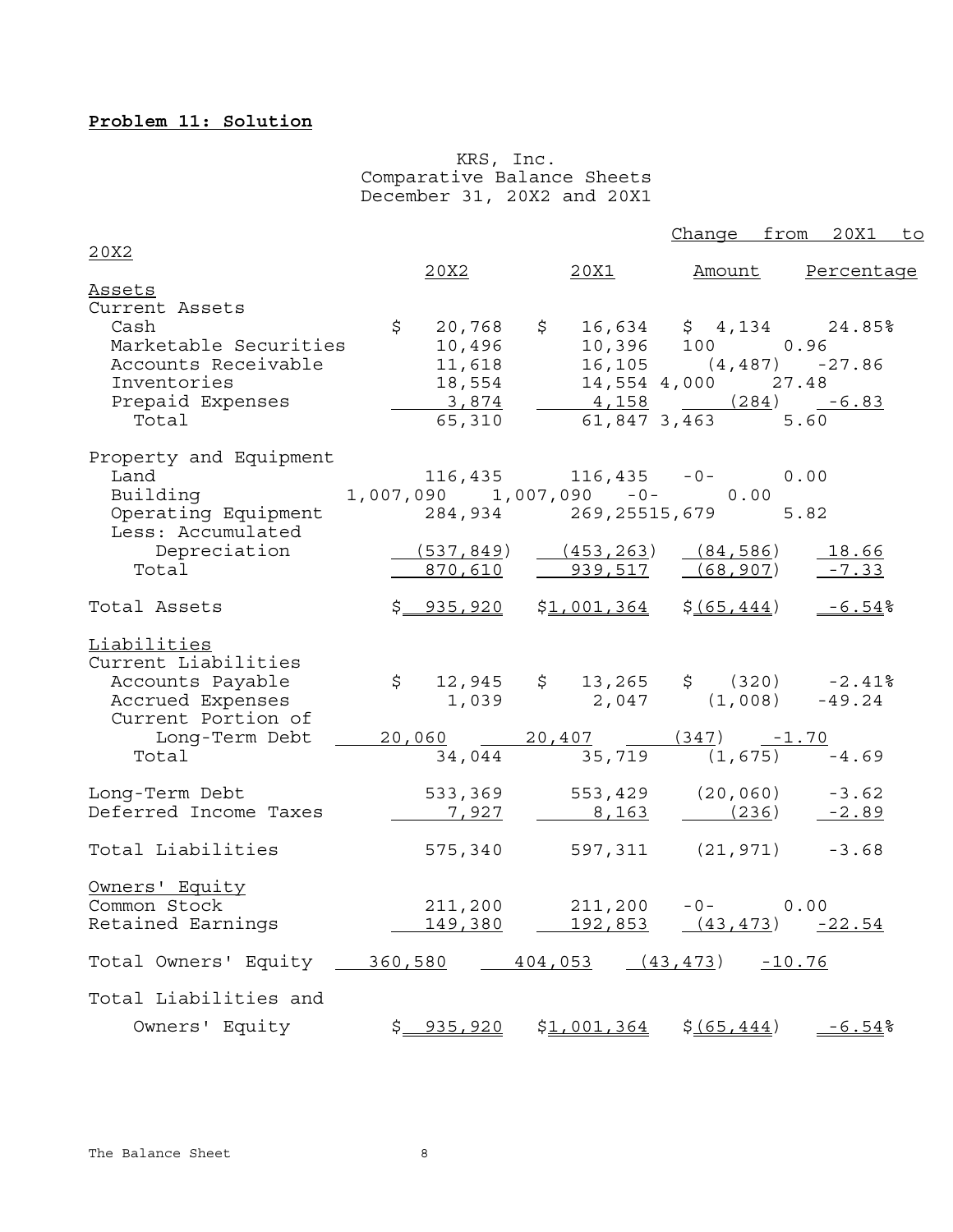# **Problem 11: Solution**

 KRS, Inc. Comparative Balance Sheets December 31, 20X2 and 20X1

|                                                                                                                                    |            |                                                                      |                                                                                                                                                  | Change from 20X1 to   |
|------------------------------------------------------------------------------------------------------------------------------------|------------|----------------------------------------------------------------------|--------------------------------------------------------------------------------------------------------------------------------------------------|-----------------------|
| 20X2                                                                                                                               |            |                                                                      |                                                                                                                                                  |                       |
| <b>Assets</b>                                                                                                                      | 20X2       |                                                                      | <u> 20X1</u>                                                                                                                                     | Amount Percentage     |
| Current Assets<br>Cash<br>Marketable Securities<br>Accounts Receivable<br>Inventories<br>Prepaid Expenses<br>Total                 | \$20,768   | $\ddot{\mathsf{S}}$<br>10,496<br>11,618<br>18,554<br>3,874<br>65,310 | $16,634 \t$ \$ 4,134 24.85%<br>10,396 100 0.96<br>$16, 105$ $(4, 487)$ $-27.86$<br>14,554 4,000 27.48<br>$4,158$ $(284)$ $-6.83$<br>61,847,3,463 | 5.60                  |
| Property and Equipment<br>Land<br>Land 1,007,090 1,007,090 -0- 0.00<br>Operating Equipment<br>Less: Accumulated<br>Depreciation    | (537, 849) |                                                                      | $116,435$ $116,435$ $-0$<br>284,934 269,25515,679<br>(453, 263)<br>(84, 586)                                                                     | 0.00<br>5.82<br>18.66 |
| Total                                                                                                                              | 870,610    |                                                                      | 939,517<br>(68, 907)                                                                                                                             | $-7.33$               |
| Total Assets                                                                                                                       | \$935,920  |                                                                      | $$1,001,364$ $$(65,444)$                                                                                                                         | $-6.54%$              |
| <u>Liabilities</u><br>Current Liabilities<br>Accounts Payable<br>Accrued Expenses<br>Current Portion of<br>Long-Term Debt<br>Total |            | 34,044                                                               | $$12,945$ $$13,265$ $$(320)$ -2.41%<br>$1,039$ $2,047$ $(1,008)$ $-49.24$<br>$20,060$ $20,407$ $(347)$ $-1.70$<br>$35,719$ $(1,675)$ $-4.69$     |                       |
| Long-Term Debt<br>Deferred Income Taxes                                                                                            | 7,927      |                                                                      | 533, 369 553, 429 (20, 060) -3.62<br>8,163                                                                                                       | $(236)$ $-2.89$       |
| Total Liabilities                                                                                                                  |            |                                                                      | 575,340 597,311 (21,971) -3.68                                                                                                                   |                       |
| Owners' Equity<br>Common Stock<br>Retained Earnings                                                                                |            | 211,200                                                              | 211,200<br>$-0-$<br><u>149,380         192,853      (43,473)      -22.54</u>                                                                     | 0.00                  |
| Total Owners' Equity _ 360,580   404,053   (43,473)   -10.76                                                                       |            |                                                                      |                                                                                                                                                  |                       |
| Total Liabilities and                                                                                                              |            |                                                                      |                                                                                                                                                  |                       |
| Owners' Equity                                                                                                                     | \$935,920  |                                                                      | $$1,001,364$ $$(65,444)$                                                                                                                         | $-6.54%$              |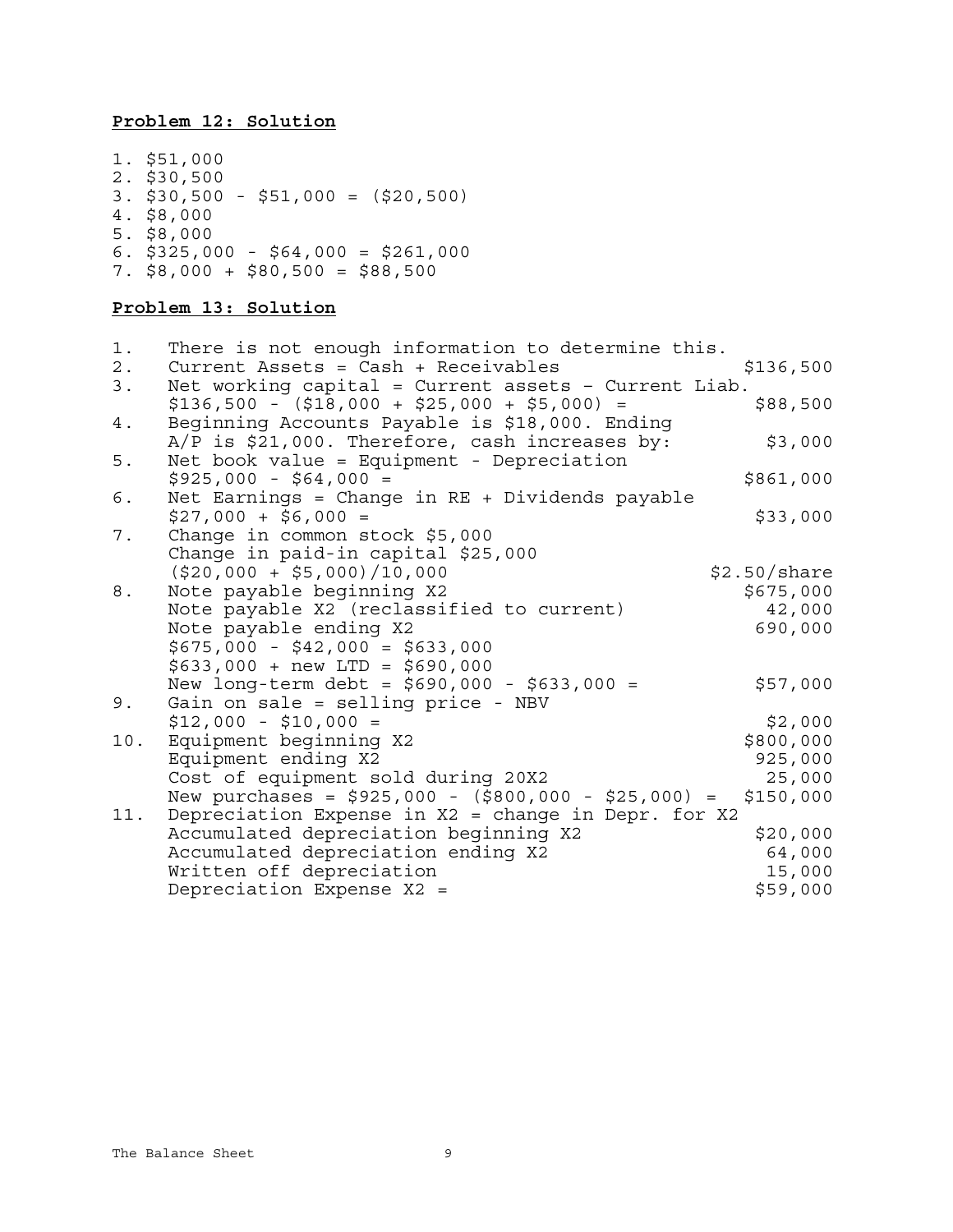# **Problem 12: Solution**

| 1. \$51,000                           |
|---------------------------------------|
| $2.$ \$30,500                         |
| $3.$ \$30,500 - \$51,000 = (\$20,500) |
| 4. \$8,000                            |
| $5.$ \$8,000                          |
| 6. $$325,000 - $64,000 = $261,000$    |
| 7. $$8,000 + $80,500 = $88,500$       |

# **Problem 13: Solution**

| $1$ . | There is not enough information to determine this.       |              |
|-------|----------------------------------------------------------|--------------|
| $2$ . | Current Assets = $Cash + Receivables$                    | \$136,500    |
| 3.    | Net working capital = $Current$ assets - $Current$ Liab. |              |
|       | $$136,500 - ($18,000 + $25,000 + $5,000) =$              | \$88,500     |
| 4.    | Beginning Accounts Payable is \$18,000. Ending           |              |
|       | $A/P$ is \$21,000. Therefore, cash increases by:         | \$3,000      |
| 5.    | Net book value = Equipment - Depreciation                |              |
|       | $$925,000 - $64,000 =$                                   | \$861,000    |
| 6.    | Net Earnings = Change in $RE$ + Dividends payable        |              |
|       | $$27,000 + $6,000 =$                                     | \$33,000     |
| 7.    | Change in common stock \$5,000                           |              |
|       | Change in paid-in capital \$25,000                       |              |
|       | $(520,000 + 55,000)/10,000$                              | \$2.50/share |
| 8.    | Note payable beginning X2                                | \$675,000    |
|       | Note payable X2 (reclassified to current)                | 42,000       |
|       | Note payable ending X2                                   | 690,000      |
|       | $$675,000 - $42,000 = $633,000$                          |              |
|       | $$633,000 + new LTD = $690,000$                          |              |
|       | New long-term debt = $$690,000 - $633,000 =$             | \$57,000     |
| 9.    | Gain on sale = selling price - NBV                       |              |
|       | $$12,000 - $10,000 =$                                    | \$2,000      |
| 10.   | Equipment beginning X2                                   | \$800,000    |
|       | Equipment ending X2                                      | 925,000      |
|       | Cost of equipment sold during 20X2                       | 25,000       |
|       | New purchases = $$925,000 - ($800,000 - $25,000) =$      | \$150,000    |
| 11.   | Depreciation Expense in X2 = change in Depr. for X2      |              |
|       | Accumulated depreciation beginning X2                    | \$20,000     |
|       | Accumulated depreciation ending X2                       | 64,000       |
|       | Written off depreciation                                 | 15,000       |
|       | Depreciation Expense X2 =                                | \$59,000     |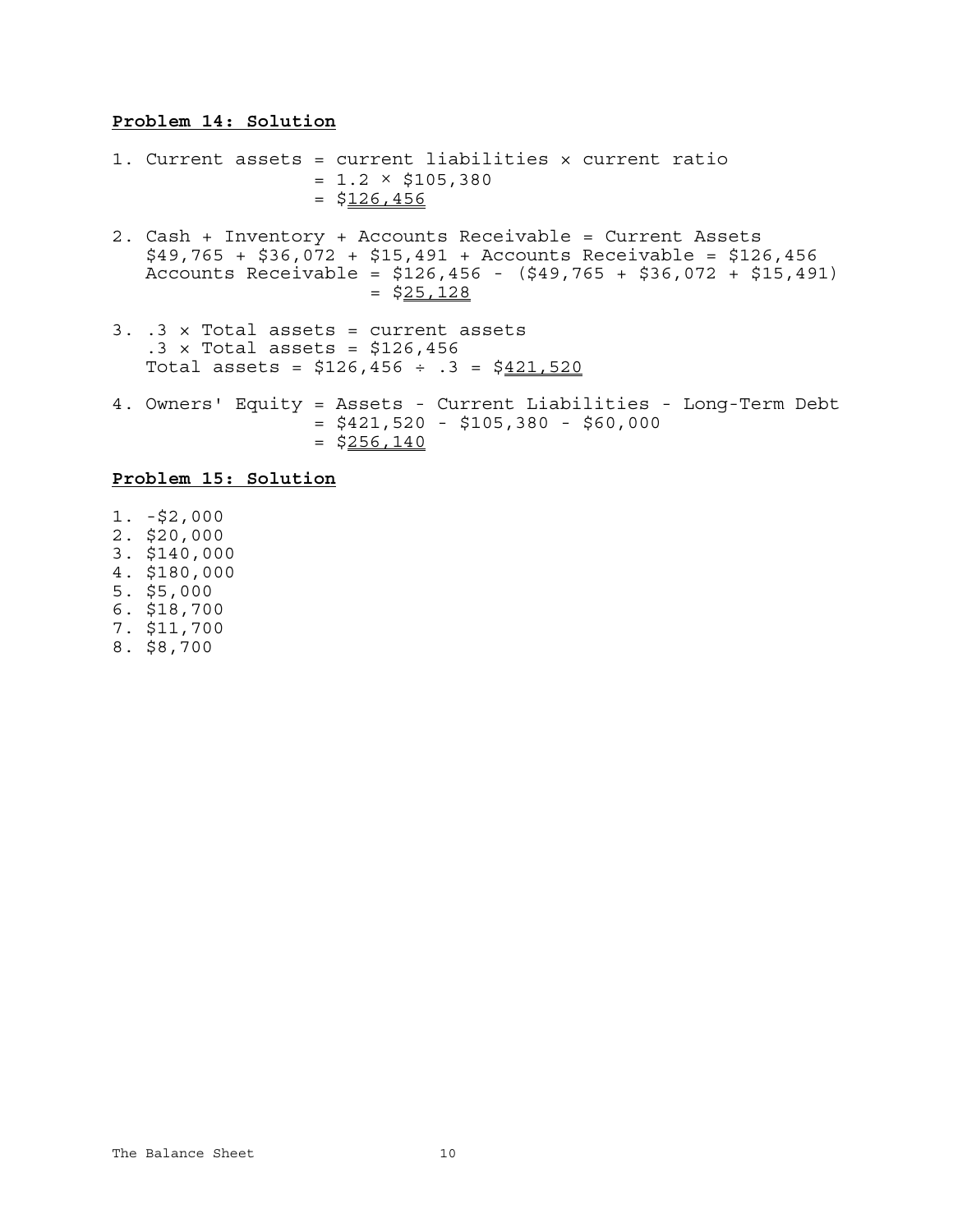#### **Problem 14: Solution**

1. Current assets = current liabilities × current ratio  $= 1.2 \times $105,380$  $=$  \$126,456

- 2. Cash + Inventory + Accounts Receivable = Current Assets \$49,765 + \$36,072 + \$15,491 + Accounts Receivable = \$126,456 Accounts Receivable = \$126,456 - (\$49,765 + \$36,072 + \$15,491)  $=$  \$25,128
- 3. .3 × Total assets = current assets  $.3 \times$  Total assets = \$126,456 Total assets =  $$126,456 \div .3 = $421,520$
- 4. Owners' Equity = Assets Current Liabilities Long-Term Debt  $= $421,520 - $105,380 - $60,000$  $=$  \$256,140

### **Problem 15: Solution**

- 1. -\$2,000
- 2. \$20,000
- 3. \$140,000
- 4. \$180,000
- 5. \$5,000
- 6. \$18,700
- 7. \$11,700
- 8. \$8,700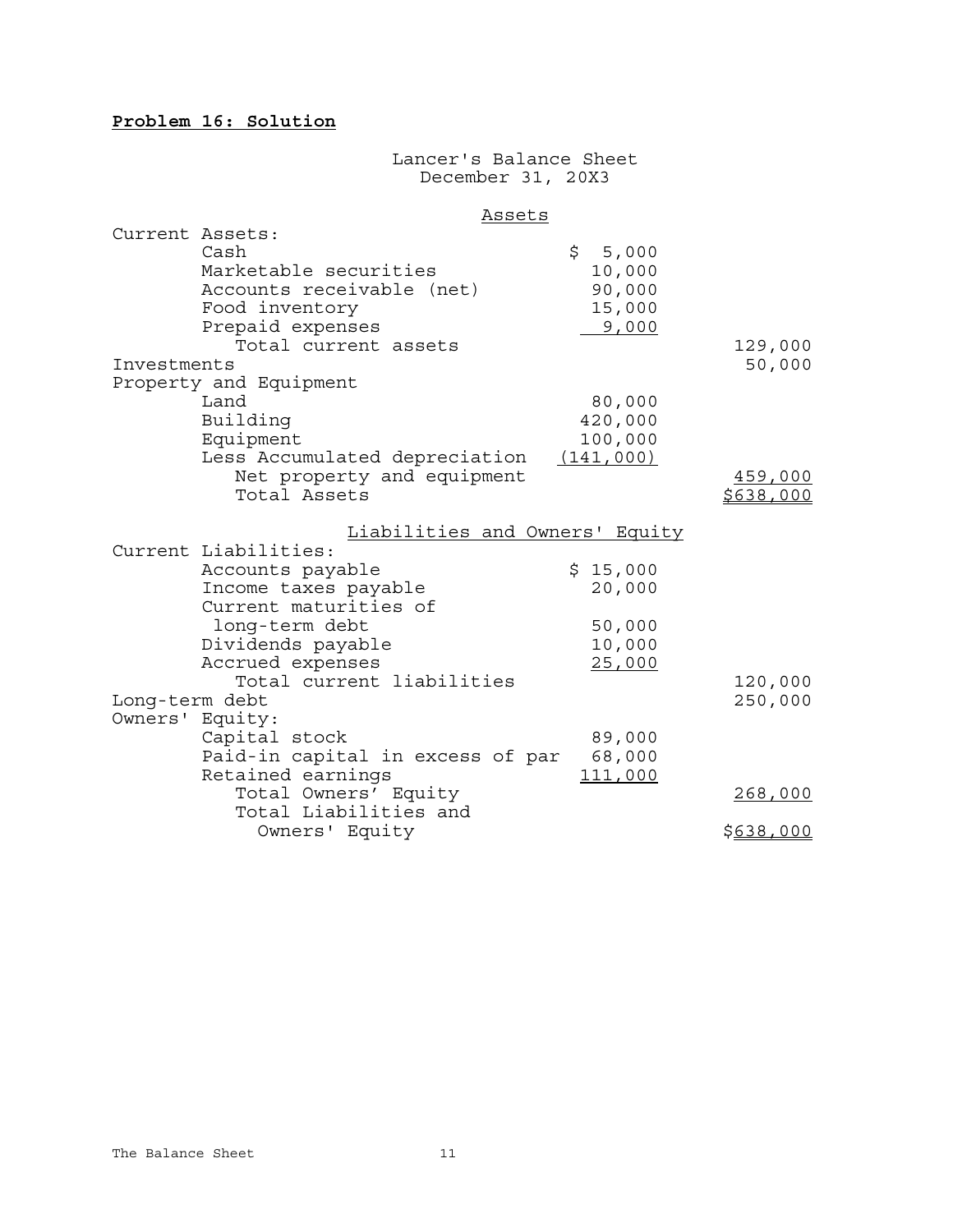# **Problem 16: Solution**

### Lancer's Balance Sheet December 31, 20X3

#### Assets

| Current Assets: |                                  |                                |           |
|-----------------|----------------------------------|--------------------------------|-----------|
|                 | Cash                             | \$5,000                        |           |
|                 | Marketable securities            | 10,000                         |           |
|                 | Accounts receivable (net)        | 90,000                         |           |
|                 | Food inventory                   | 15,000                         |           |
|                 | Prepaid expenses                 | 9,000                          |           |
|                 | Total current assets             |                                | 129,000   |
| Investments     |                                  |                                | 50,000    |
|                 | Property and Equipment           |                                |           |
|                 | Land                             | 80,000                         |           |
|                 | Building                         | 420,000                        |           |
|                 | Equipment                        | 100,000                        |           |
|                 | Less Accumulated depreciation    | (141,000)                      |           |
|                 | Net property and equipment       |                                | 459,000   |
|                 | Total Assets                     |                                | \$638,000 |
|                 |                                  | Liabilities and Owners' Equity |           |
|                 | Current Liabilities:             |                                |           |
|                 | Accounts payable                 | \$15,000                       |           |
|                 | Income taxes payable             | 20,000                         |           |
|                 | Current maturities of            |                                |           |
|                 | long-term debt                   | 50,000                         |           |
|                 | Dividends payable                | 10,000                         |           |
|                 | Accrued expenses                 | 25,000                         |           |
|                 | Total current liabilities        |                                | 120,000   |
| Long-term debt  |                                  |                                | 250,000   |
| Owners' Equity: |                                  |                                |           |
|                 | Capital stock                    | 89,000                         |           |
|                 | Paid-in capital in excess of par | 68,000                         |           |
|                 | Retained earnings                | 111,000                        |           |
|                 | Total Owners' Equity             |                                | 268,000   |
|                 | Total Liabilities and            |                                |           |
|                 | Owners' Equity                   |                                | \$638,000 |
|                 |                                  |                                |           |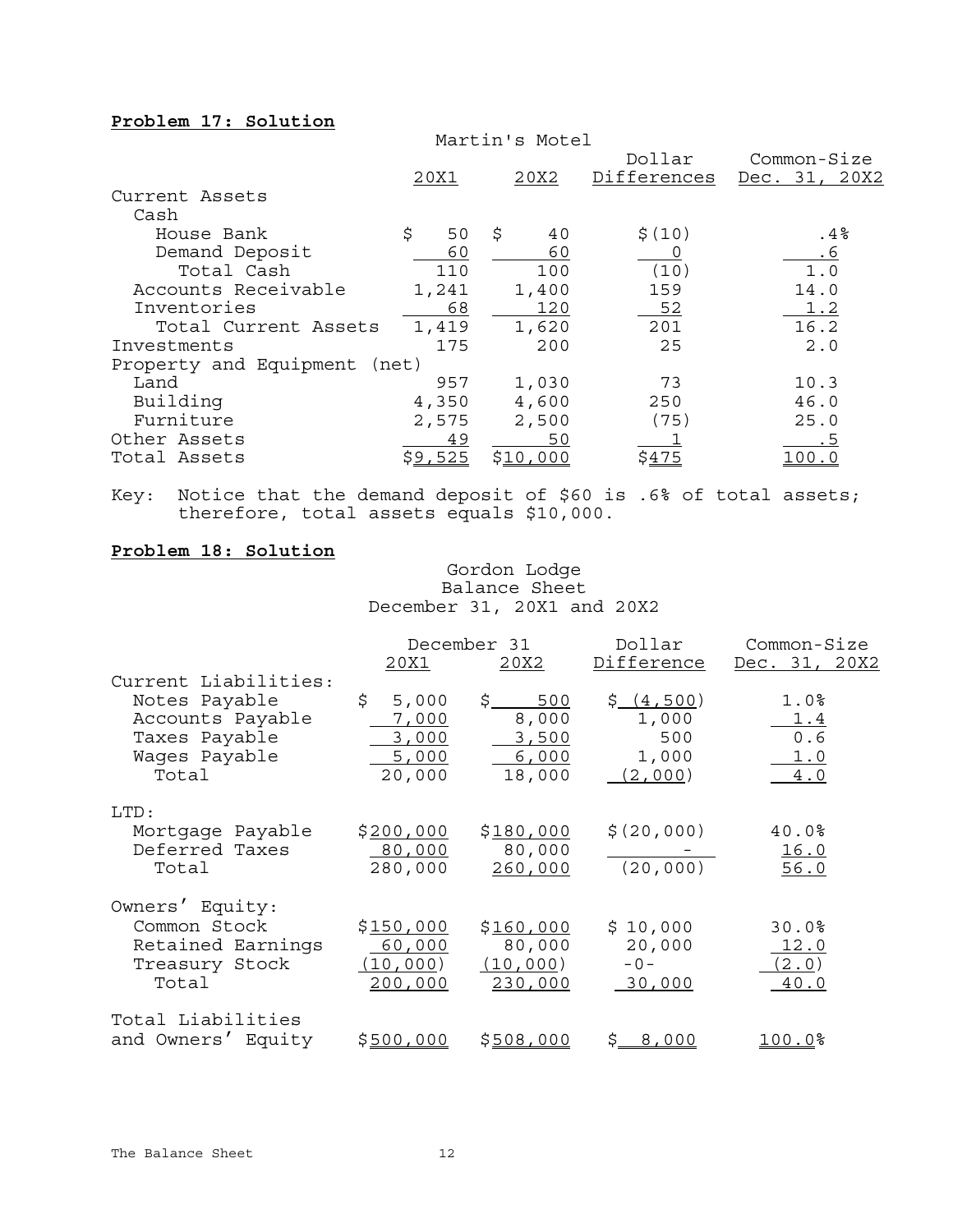## **Problem 17: Solution**

|                              |          | Martin's Motel |             |                  |
|------------------------------|----------|----------------|-------------|------------------|
|                              |          |                | Dollar      | Common-Size      |
|                              | 20X1     | 20X2           | Differences | Dec. 31,<br>20X2 |
| Current Assets               |          |                |             |                  |
| Cash                         |          |                |             |                  |
| House Bank                   | \$<br>50 | \$<br>40       | \$(10)      | .4%              |
| Demand Deposit               | 60       | 60             |             | <u>.6</u>        |
| Total Cash                   | 110      | 100            | (10)        | 1.0              |
| Accounts Receivable          | 1,241    | 1,400          | 159         | 14.0             |
| Inventories                  | 68       | 120            | 52          | 1.2              |
| Total Current Assets         | 1,419    | 1,620          | 201         | 16.2             |
| Investments                  | 175      | 200            | 25          | 2.0              |
| Property and Equipment (net) |          |                |             |                  |
| Land                         | 957      | 1,030          | 73          | 10.3             |
| Building                     | 4,350    | 4,600          | 250         | 46.0             |
| Furniture                    | 2,575    | 2,500          | (75)        | 25.0             |
| Other Assets                 | 49       | 50             |             | . 5              |
| Total Assets                 | \$9,525  | \$10,000       | \$475       | <u> 100.0</u>    |

Key: Notice that the demand deposit of \$60 is .6% of total assets; therefore, total assets equals \$10,000.

#### **Problem 18: Solution**

Gordon Lodge Balance Sheet December 31, 20X1 and 20X2

|                                                                                                      |                                                  | December 31                                    | Dollar                                        | Common-Size                                    |
|------------------------------------------------------------------------------------------------------|--------------------------------------------------|------------------------------------------------|-----------------------------------------------|------------------------------------------------|
|                                                                                                      | 20X1                                             | 20X2                                           | Difference                                    | Dec. 31, 20X2                                  |
| Current Liabilities:<br>Notes Payable<br>Accounts Payable<br>Taxes Payable<br>Wages Payable<br>Total | \$<br>5,000<br>7,000<br>3,000<br>5,000<br>20,000 | \$<br>500<br>8,000<br>3,500<br>6,000<br>18,000 | \$(4,500)<br>1,000<br>500<br>1,000<br>(2,000) | 1.0 <sup>8</sup><br>1.4<br>0.6<br>1.0<br>$4.0$ |
| LTD:<br>Mortgage Payable<br>Deferred Taxes<br>Total                                                  | \$200,000<br>80,000<br>280,000                   | \$180,000<br>80,000<br>260,000                 | \$(20,000)<br>(20, 000)                       | 40.0%<br>16.0<br>56.0                          |
| Owners' Equity:<br>Common Stock<br>Retained Earnings<br>Treasury Stock<br>Total                      | \$150,000<br>60,000<br>(10, 000)<br>200,000      | \$160,000<br>80,000<br>(10,000)<br>230,000     | \$10,000<br>20,000<br>$-0-$<br>30,000         | 30.0%<br>12.0<br>(2.0)<br>40.0                 |
| Total Liabilities<br>and Owners' Equity                                                              | \$500,000                                        | \$508,000                                      | \$_<br>8,000                                  | <u> 100.0</u> %                                |